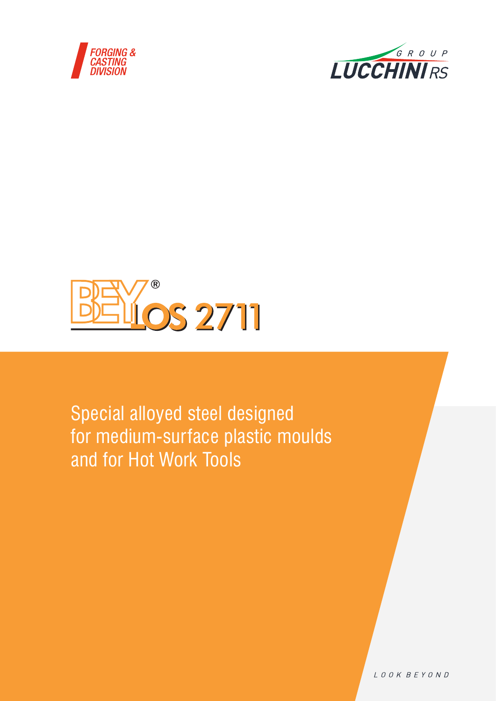





Special alloyed steel designed for medium-surface plastic moulds and for Hot Work Tools

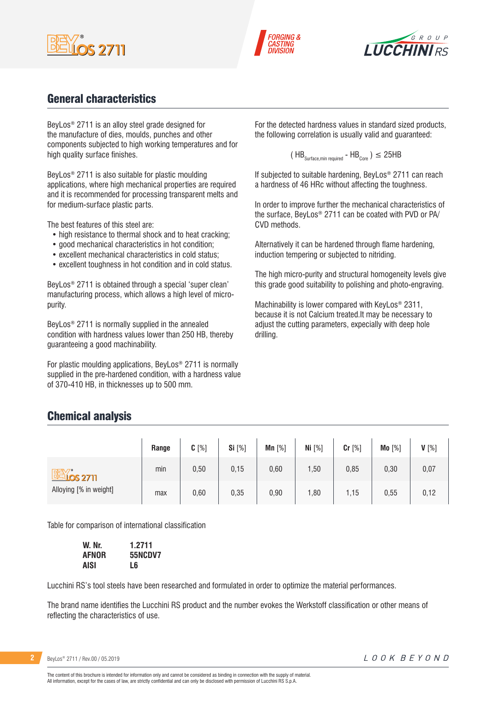





## General characteristics

BeyLos® 2711 is an alloy steel grade designed for the manufacture of dies, moulds, punches and other components subjected to high working temperatures and for high quality surface finishes.

BeyLos® 2711 is also suitable for plastic moulding applications, where high mechanical properties are required and it is recommended for processing transparent melts and for medium-surface plastic parts.

The best features of this steel are:

- high resistance to thermal shock and to heat cracking;
- good mechanical characteristics in hot condition;
- excellent mechanical characteristics in cold status;
- excellent toughness in hot condition and in cold status.

BeyLos® 2711 is obtained through a special 'super clean' manufacturing process, which allows a high level of micropurity.

BeyLos® 2711 is normally supplied in the annealed condition with hardness values lower than 250 HB, thereby guaranteeing a good machinability.

For plastic moulding applications, BeyLos® 2711 is normally supplied in the pre-hardened condition, with a hardness value of 370-410 HB, in thicknesses up to 500 mm.

For the detected hardness values in standard sized products, the following correlation is usually valid and guaranteed:

$$
(\text{HB}_{\text{Surface,min required}} - \text{HB}_{\text{Core}}) \leq 25 \text{HB}
$$

If subjected to suitable hardening, BeyLos® 2711 can reach a hardness of 46 HRc without affecting the toughness.

In order to improve further the mechanical characteristics of the surface, BeyLos® 2711 can be coated with PVD or PA/ CVD methods.

Alternatively it can be hardened through flame hardening, induction tempering or subjected to nitriding.

The high micro-purity and structural homogeneity levels give this grade good suitability to polishing and photo-engraving.

Machinability is lower compared with KeyLos® 2311, because it is not Calcium treated.It may be necessary to adjust the cutting parameters, expecially with deep hole drilling.

## Chemical analysis

|                               | Range | $C[\%]$ | Si [%] | Mn $[%]$ | Ni $[%]$ | Cr [%] | Mo [%] | $V[\%]$ |
|-------------------------------|-------|---------|--------|----------|----------|--------|--------|---------|
| <b>BEY</b><br><b>LOS 2711</b> | min   | 0,50    | 0,15   | 0,60     | 1,50     | 0,85   | 0,30   | 0,07    |
| Alloying [% in weight]        | max   | 0,60    | 0,35   | 0,90     | 1,80     | 1,15   | 0,55   | 0,12    |

Table for comparison of international classification

| W. Nr. | 1.2711         |
|--------|----------------|
| AFNOR  | <b>55NCDV7</b> |
| AISI   | Lб             |

Lucchini RS's tool steels have been researched and formulated in order to optimize the material performances.

The brand name identifies the Lucchini RS product and the number evokes the Werkstoff classification or other means of reflecting the characteristics of use.

| BeyLos <sup>®</sup> 2711 / Rev.00 / 05.2019 |  |
|---------------------------------------------|--|
|---------------------------------------------|--|

The content of this brochure is intended for information only and cannot be considered as binding in connection with the supply of material. All information, except for the cases of law, are strictly confidential and can only be disclosed with permission of Lucchini RS S.p.A.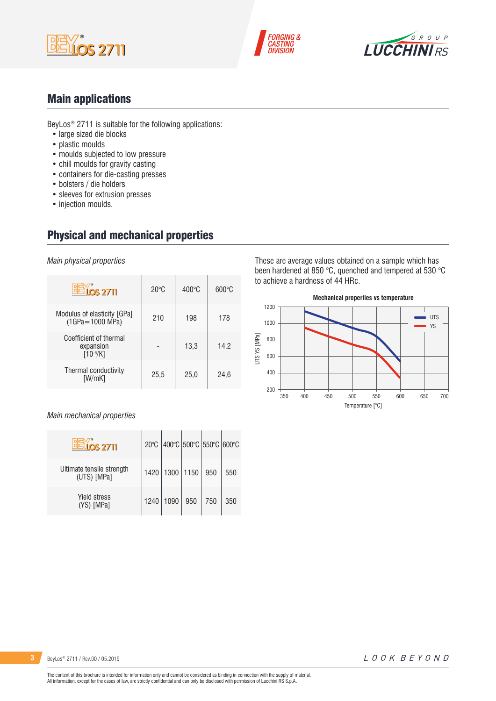





## Main applications

BeyLos® 2711 is suitable for the following applications:

- large sized die blocks
- plastic moulds
- moulds subjected to low pressure
- chill moulds for gravity casting
- containers for die-casting presses
- bolsters / die holders
- sleeves for extrusion presses
- injection moulds.

# Physical and mechanical properties

*Main physical properties*

| $OS$ 2711                                            | $20^{\circ}$ C | $400^{\circ}$ C | $600\degree C$ |
|------------------------------------------------------|----------------|-----------------|----------------|
| Modulus of elasticity [GPa]<br>$(1GPa = 1000 MPa)$   | 210            | 198             | 178            |
| Coefficient of thermal<br>expansion<br>$[10^{-6}/K]$ |                | 13,3            | 14,2           |
| Thermal conductivity<br>[W/mK]                       | 25,5           | 25,0            | 24,6           |

#### *Main mechanical properties*

| <u>40S 2711</u>                          | $20^{\circ}$ C |             | $ 400^{\circ}$ C $ 500^{\circ}$ C $ 550^{\circ}$ C $ 600^{\circ}$ C |     |     |
|------------------------------------------|----------------|-------------|---------------------------------------------------------------------|-----|-----|
| Ultimate tensile strength<br>(UTS) [MPa] | 1420           | 1300   1150 |                                                                     | 950 | 550 |
| <b>Yield stress</b><br>(YS) [MPa]        | 1240           | 1090        | 950                                                                 | 750 | 350 |

These are average values obtained on a sample which has been hardened at 850 °C, quenched and tempered at 530 °C to achieve a hardness of 44 HRc.

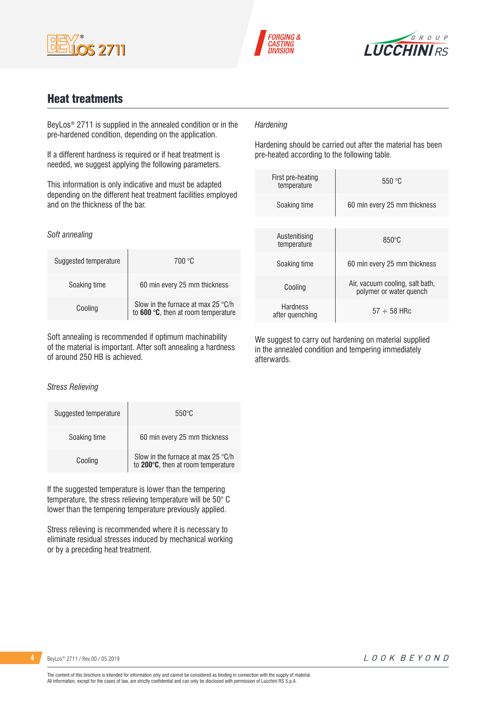





## Heat treatments

BeyLos® 2711 is supplied in the annealed condition or in the pre-hardened condition, depending on the application.

If a different hardness is required or if heat treatment is needed, we suggest applying the following parameters.

This information is only indicative and must be adapted depending on the different heat treatment facilities employed and on the thickness of the bar.

#### *Soft annealing*

| Suggested temperature | 700 °C                                                                             |
|-----------------------|------------------------------------------------------------------------------------|
| Soaking time          | 60 min every 25 mm thickness                                                       |
| Cooling               | Slow in the furnace at max 25 $\degree$ C/h<br>to 600 °C, then at room temperature |

Soft annealing is recommended if optimum machinability of the material is important. After soft annealing a hardness of around 250 HB is achieved.

#### *Stress Relieving*

| Suggested temperature | $550^{\circ}$ C                                                          |
|-----------------------|--------------------------------------------------------------------------|
| Soaking time          | 60 min every 25 mm thickness                                             |
| Cooling               | Slow in the furnace at max 25 °C/h<br>to 200°C, then at room temperature |

If the suggested temperature is lower than the tempering temperature, the stress relieving temperature will be 50° C lower than the tempering temperature previously applied.

Stress relieving is recommended where it is necessary to eliminate residual stresses induced by mechanical working or by a preceding heat treatment.

#### *Hardening*

Hardening should be carried out after the material has been pre-heated according to the following table.

| First pre-heating<br>temperature | 550 °C                                                     |
|----------------------------------|------------------------------------------------------------|
| Soaking time                     | 60 min every 25 mm thickness                               |
|                                  |                                                            |
| Austenitising<br>temperature     | $850^\circ C$                                              |
| Soaking time                     | 60 min every 25 mm thickness                               |
| Cooling                          | Air, vacuum cooling, salt bath,<br>polymer or water quench |
| Hardness<br>after quenching      | $57 \div 58$ HRc                                           |

We suggest to carry out hardening on material supplied in the annealed condition and tempering immediately afterwards.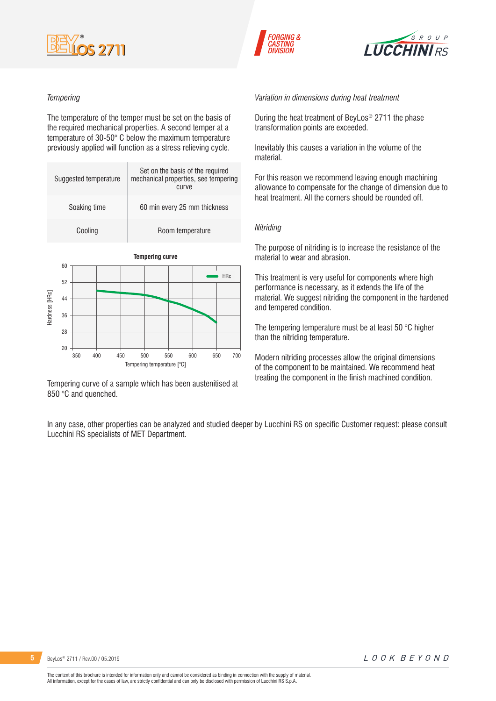





#### *Tempering*

The temperature of the temper must be set on the basis of the required mechanical properties. A second temper at a temperature of 30-50° C below the maximum temperature previously applied will function as a stress relieving cycle.

|                | Suggested temperature |  |                              | Set on the basis of the required<br>mechanical properties, see tempering<br>curve |  |  |            |
|----------------|-----------------------|--|------------------------------|-----------------------------------------------------------------------------------|--|--|------------|
| Soaking time   |                       |  | 60 min every 25 mm thickness |                                                                                   |  |  |            |
|                | Cooling               |  |                              | Room temperature                                                                  |  |  |            |
|                | 60                    |  |                              | <b>Tempering curve</b>                                                            |  |  |            |
|                | 52                    |  |                              |                                                                                   |  |  | <b>HRc</b> |
| Hardness [HRc] | 44                    |  |                              |                                                                                   |  |  |            |
|                | 36                    |  |                              |                                                                                   |  |  |            |
|                | 28                    |  |                              |                                                                                   |  |  |            |
|                | 20                    |  |                              |                                                                                   |  |  |            |

Tempering curve of a sample which has been austenitised at 850 °C and quenched.

Tempering temperature [°C]

350 400 450 500 550 600 650 700

*Variation in dimensions during heat treatment*

During the heat treatment of BeyLos® 2711 the phase transformation points are exceeded.

Inevitably this causes a variation in the volume of the material.

For this reason we recommend leaving enough machining allowance to compensate for the change of dimension due to heat treatment. All the corners should be rounded off.

#### *Nitriding*

The purpose of nitriding is to increase the resistance of the material to wear and abrasion.

This treatment is very useful for components where high performance is necessary, as it extends the life of the material. We suggest nitriding the component in the hardened and tempered condition.

The tempering temperature must be at least 50 °C higher than the nitriding temperature.

Modern nitriding processes allow the original dimensions of the component to be maintained. We recommend heat treating the component in the finish machined condition.

In any case, other properties can be analyzed and studied deeper by Lucchini RS on specific Customer request: please consult Lucchini RS specialists of MET Department.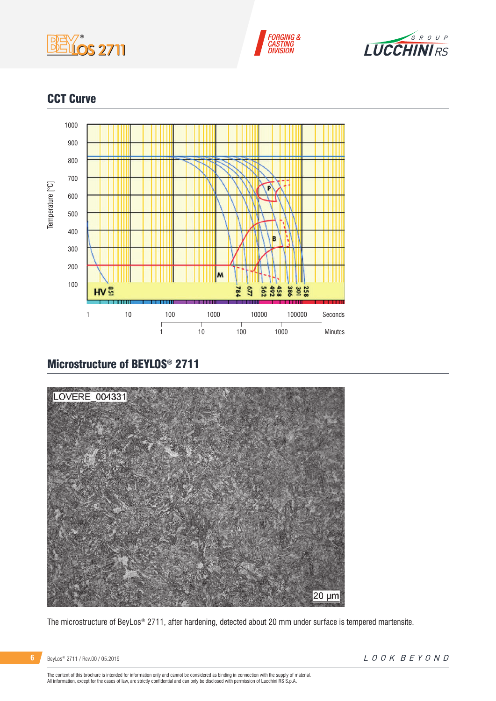





## CCT Curve



# Microstructure of BEYLOS® 2711



The microstructure of BeyLos® 2711, after hardening, detected about 20 mm under surface is tempered martensite.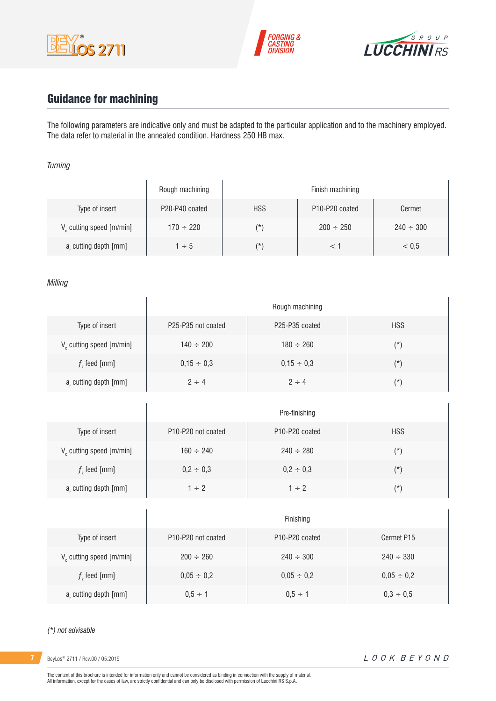





# Guidance for machining

 $\overline{1}$ 

The following parameters are indicative only and must be adapted to the particular application and to the machinery employed. The data refer to material in the annealed condition. Hardness 250 HB max.

#### *Turning*

|                                      | Rough machining | Finish machining |                                         |                |  |
|--------------------------------------|-----------------|------------------|-----------------------------------------|----------------|--|
| Type of insert                       | P20-P40 coated  | <b>HSS</b>       | P <sub>10</sub> -P <sub>20</sub> coated | Cermet         |  |
| V <sub>c</sub> cutting speed [m/min] | $170 \div 220$  | $(\star)$        | $200 \div 250$                          | $240 \div 300$ |  |
| a, cutting depth [mm]                | $1 \div 5$      | $(\star)$        |                                         | < 0.5          |  |

#### *Milling*

|                                      | Rough machining                             |                                         |            |  |  |  |
|--------------------------------------|---------------------------------------------|-----------------------------------------|------------|--|--|--|
| Type of insert                       | P <sub>25</sub> -P <sub>35</sub> not coated | P <sub>25</sub> -P <sub>35</sub> coated | <b>HSS</b> |  |  |  |
| V <sub>c</sub> cutting speed [m/min] | $140 \div 200$                              | $180 \div 260$                          | $(*)$      |  |  |  |
| $fz$ feed [mm]                       | $0,15 \div 0,3$                             | $0,15 \div 0,3$                         | $(\star)$  |  |  |  |
| a, cutting depth [mm]                | $2 \div 4$                                  | $2 \div 4$                              | $(\star)$  |  |  |  |

|                         | Pre-finishing                               |                                         |            |  |  |  |
|-------------------------|---------------------------------------------|-----------------------------------------|------------|--|--|--|
| Type of insert          | P <sub>10</sub> -P <sub>20</sub> not coated | P <sub>10</sub> -P <sub>20</sub> coated | <b>HSS</b> |  |  |  |
| V cutting speed [m/min] | $160 \div 240$                              | $240 \div 280$                          | $(\star)$  |  |  |  |
| $fz$ feed [mm]          | $0,2 \div 0,3$                              | $0,2 \div 0,3$                          | $(\star)$  |  |  |  |
| a, cutting depth [mm]   | $1 \div 2$                                  | $1 \div 2$                              | (*)        |  |  |  |

|                               | Finishing                                   |                                         |                 |  |  |
|-------------------------------|---------------------------------------------|-----------------------------------------|-----------------|--|--|
| Type of insert                | P <sub>10</sub> -P <sub>20</sub> not coated | P <sub>10</sub> -P <sub>20</sub> coated | Cermet P15      |  |  |
| $V_c$ cutting speed $[m/min]$ | $200 \div 260$                              | $240 \div 300$                          | $240 \div 330$  |  |  |
| $fz$ feed [mm]                | $0,05 \div 0,2$                             | $0.05 \div 0.2$                         | $0,05 \div 0,2$ |  |  |
| a, cutting depth [mm]         | $0.5 \div 1$                                | $0.5 \div 1$                            | $0,3 \div 0,5$  |  |  |

#### *(\*) not advisable*

**7** BeyLos® 2711 / Rev.00 / 05.2019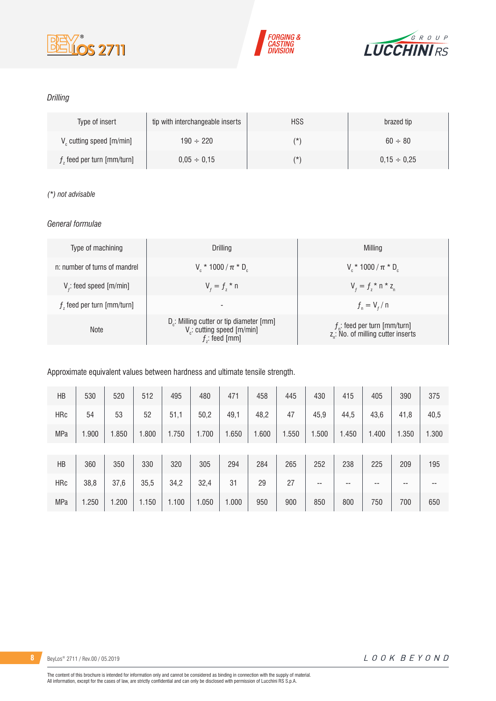





### *Drilling*

| Type of insert                       | tip with interchangeable inserts | <b>HSS</b> | brazed tip       |
|--------------------------------------|----------------------------------|------------|------------------|
| V <sub>c</sub> cutting speed [m/min] | $190 \div 220$                   | (*         | $60 \div 80$     |
| $fz$ feed per turn [mm/turn]         | $0.05 \div 0.15$                 | (*         | $0.15 \div 0.25$ |

### *(\*) not advisable*

### *General formulae*

| Type of machining             | Drilling                                                                                                          | Milling                                                                             |
|-------------------------------|-------------------------------------------------------------------------------------------------------------------|-------------------------------------------------------------------------------------|
| n: number of turns of mandrel | $V_r * 1000 / \pi * D_r$                                                                                          | $V_r * 1000 / \pi * D_r$                                                            |
| $Vf$ : feed speed [m/min]     | $V_{f} = f_{7}$ * n                                                                                               | $V_{f} = f_{i} * n * z_{n}$                                                         |
| $fz$ feed per turn [mm/turn]  | -                                                                                                                 | $f_{n} = V_{f} / n$                                                                 |
| <b>Note</b>                   | D <sub>r</sub> : Milling cutter or tip diameter [mm]<br>V <sub>c</sub> : cutting speed [m/min]<br>$f$ : feed [mm] | $f_{n}$ : feed per turn [mm/turn]<br>z <sub>n</sub> : No. of milling cutter inserts |

Approximate equivalent values between hardness and ultimate tensile strength.

| <b>HB</b>  | 530   | 520   | 512   | 495   | 480   | 471   | 458   | 445   | 430   | 415   | 405   | 390   | 375   |
|------------|-------|-------|-------|-------|-------|-------|-------|-------|-------|-------|-------|-------|-------|
| <b>HRc</b> | 54    | 53    | 52    | 51,1  | 50,2  | 49,1  | 48,2  | 47    | 45,9  | 44,5  | 43,6  | 41,8  | 40,5  |
| MPa        | 1.900 | 1.850 | 1.800 | 1.750 | 1.700 | 1.650 | 1.600 | 1.550 | 1.500 | 1.450 | 1.400 | 1.350 | 1.300 |
|            |       |       |       |       |       |       |       |       |       |       |       |       |       |
| HB         | 360   | 350   | 330   | 320   | 305   | 294   | 284   | 265   | 252   | 238   | 225   | 209   | 195   |
| <b>HRc</b> | 38,8  | 37,6  | 35,5  | 34,2  | 32,4  | 31    | 29    | 27    | --    | $- -$ | --    | --    | --    |
| MPa        | 1.250 | 1.200 | 1.150 | 1.100 | 1.050 | 1.000 | 950   | 900   | 850   | 800   | 750   | 700   | 650   |